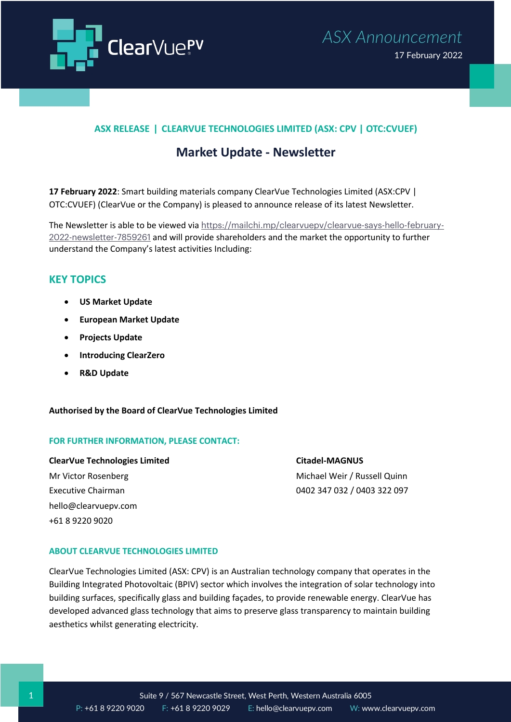



## **ASX RELEASE ǀ CLEARVUE TECHNOLOGIES LIMITED (ASX: CPV | OTC:CVUEF)**

# **Market Update - Newsletter**

**17 February 2022**: Smart building materials company ClearVue Technologies Limited (ASX:CPV | OTC:CVUEF) (ClearVue or the Company) is pleased to announce release of its latest Newsletter.

The Newsletter is able to be viewed via https://mailchi.mp/clearvuepv/clearvue-says-hello-february-2022-newsletter-7859261 and will provide shareholders and the market the opportunity to further understand the Company's latest activities Including:

## **KEY TOPICS**

- **US Market Update**
- **European Market Update**
- **Projects Update**
- **Introducing ClearZero**
- **R&D Update**

#### **Authorised by the Board of ClearVue Technologies Limited**

#### **FOR FURTHER INFORMATION, PLEASE CONTACT:**

ClearVue Technologies Limited Citadel-MAGNUS Mr Victor Rosenberg Michael Weir / Russell Quinn Executive Chairman 0402 347 032 / 0403 322 097 hello@clearvuepv.com +61 8 9220 9020

#### **ABOUT CLEARVUE TECHNOLOGIES LIMITED**

ClearVue Technologies Limited (ASX: CPV) is an Australian technology company that operates in the Building Integrated Photovoltaic (BPIV) sector which involves the integration of solar technology into building surfaces, specifically glass and building façades, to provide renewable energy. ClearVue has developed advanced glass technology that aims to preserve glass transparency to maintain building aesthetics whilst generating electricity.